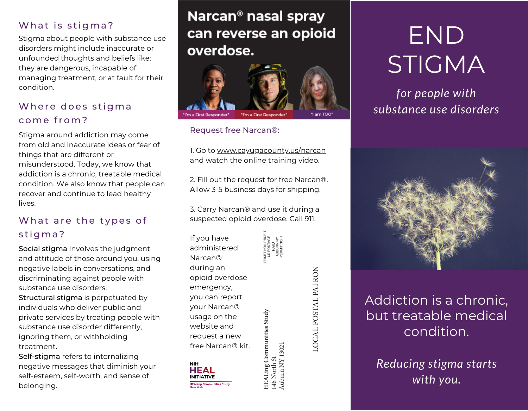#### What is stigma?

Stigma about people with substance use disorders might include inaccurate or unfounded thoughts and beliefs like: they are dangerous, incapable of managing treatment, or at fault for their condition.

#### Where does stigma co me f ro m?

Stigma around addiction may come from old and inaccurate ideas or fear of things that are different or misunderstood. Today, we know that addiction is a chronic, treatable medical condition. We also know that people can recover and continue to lead healthy lives.

#### What are the types of stigma?

Social stigma involves the judgment and attitude of those around you, using negative labels in conversations, and discriminating against people with substance use disorders. Structural stigma is perpetuated by individuals who deliver public and private services by treating people with substance use disorder differently, ignoring them, or withholding treatment.

Self-stigma refers to internalizing negative messages that diminish your self-esteem, self-worth, and sense of belonging.

## Narcan<sup>®</sup> nasal spray can reverse an opioid overdose.



#### Request free Narcan®:

1. Go to www.cayugacounty.us/narcan and watch the online training video.

2. Fill out the request for free Narcan®. Allow 3-5 business days for shipping.

3. Carry Narcan® and use it during a suspected opioid overdose. Call 911.

> PRSRT NON-PROFIT US POSTAGE PAID AUBURN NY PERMIT NO. 1

If you have administered Narcan® during an opioid overdose emergency, you can report your Narcan® usage on the website and request a new free Narcan® kit.



**HEALing Communities Study HEALing Communities Study** 146 North St Auburn NY 13021 LOCAL POSTAL PATRON LOCAL POSTAL PATRON

# END STIGMA

## *for people with substance use disorders*



## Addiction is a chronic, but treatable medical condition.

*Reducing stigma starts with you.*